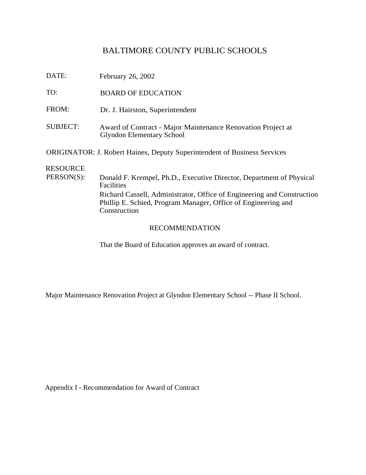# BALTIMORE COUNTY PUBLIC SCHOOLS

DATE: February 26, 2002

TO: BOARD OF EDUCATION

- FROM: Dr. J. Hairston, Superintendent
- SUBJECT: Award of Contract Major Maintenance Renovation Project at Glyndon Elementary School

ORIGINATOR: J. Robert Haines, Deputy Superintendent of Business Services

## RESOURCE

PERSON(S): Donald F. Krempel, Ph.D., Executive Director, Department of Physical Facilities Richard Cassell, Administrator, Office of Engineering and Construction Phillip E. Schied, Program Manager, Office of Engineering and **Construction** 

#### RECOMMENDATION

That the Board of Education approves an award of contract.

Major Maintenance Renovation Project at Glyndon Elementary School -- Phase II School.

Appendix I - Recommendation for Award of Contract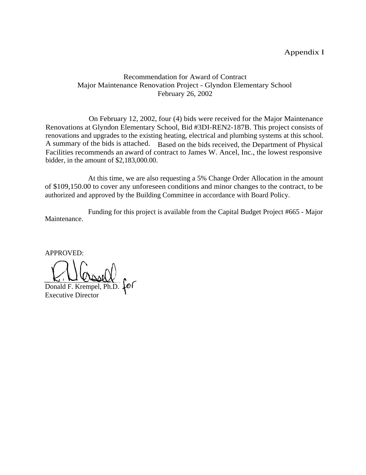#### Appendix I

### Recommendation for Award of Contract Major Maintenance Renovation Project - Glyndon Elementary School February 26, 2002

On February 12, 2002, four (4) bids were received for the Major Maintenance Renovations at Glyndon Elementary School, Bid #3DI-REN2-187B. This project consists of renovations and upgrades to the existing heating, electrical and plumbing systems at this school. A summary of the bids is attached. Based on the bids received, the Department of Physical Facilities recommends an award of contract to James W. Ancel, Inc., the lowest responsive bidder, in the amount of \$2,183,000.00.

At this time, we are also requesting a 5% Change Order Allocation in the amount of \$109,150.00 to cover any unforeseen conditions and minor changes to the contract, to be authorized and approved by the Building Committee in accordance with Board Policy.

Maintenance. Funding for this project is available from the Capital Budget Project #665 - Major

APPROVED:

br Donald F. Krempel, Ph.D.

Executive Director